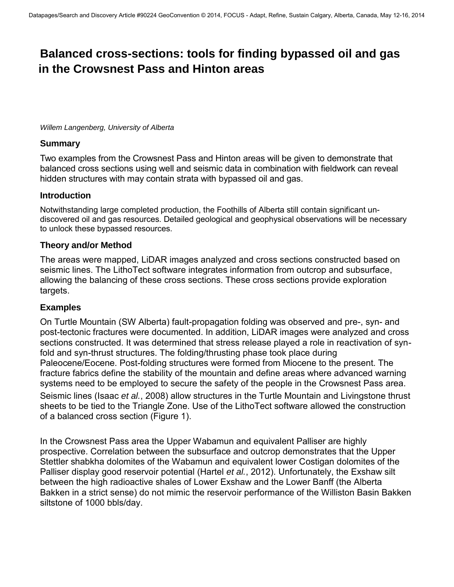# **Balanced cross-sections: tools for finding bypassed oil and gas in the Crowsnest Pass and Hinton areas**

*Willem Langenberg, University of Alberta* 

#### **Summary**

Two examples from the Crowsnest Pass and Hinton areas will be given to demonstrate that balanced cross sections using well and seismic data in combination with fieldwork can reveal hidden structures with may contain strata with bypassed oil and gas.

### **Introduction**

Notwithstanding large completed production, the Foothills of Alberta still contain significant undiscovered oil and gas resources. Detailed geological and geophysical observations will be necessary to unlock these bypassed resources.

### **Theory and/or Method**

The areas were mapped, LiDAR images analyzed and cross sections constructed based on seismic lines. The LithoTect software integrates information from outcrop and subsurface, allowing the balancing of these cross sections. These cross sections provide exploration targets.

### **Examples**

On Turtle Mountain (SW Alberta) fault-propagation folding was observed and pre-, syn- and post-tectonic fractures were documented. In addition, LiDAR images were analyzed and cross sections constructed. It was determined that stress release played a role in reactivation of synfold and syn-thrust structures. The folding/thrusting phase took place during Paleocene/Eocene. Post-folding structures were formed from Miocene to the present. The fracture fabrics define the stability of the mountain and define areas where advanced warning systems need to be employed to secure the safety of the people in the Crowsnest Pass area. Seismic lines (Isaac *et al.*, 2008) allow structures in the Turtle Mountain and Livingstone thrust sheets to be tied to the Triangle Zone. Use of the LithoTect software allowed the construction of a balanced cross section (Figure 1).

In the Crowsnest Pass area the Upper Wabamun and equivalent Palliser are highly prospective. Correlation between the subsurface and outcrop demonstrates that the Upper Stettler shabkha dolomites of the Wabamun and equivalent lower Costigan dolomites of the Palliser display good reservoir potential (Hartel *et al.*, 2012). Unfortunately, the Exshaw silt between the high radioactive shales of Lower Exshaw and the Lower Banff (the Alberta Bakken in a strict sense) do not mimic the reservoir performance of the Williston Basin Bakken siltstone of 1000 bbls/day.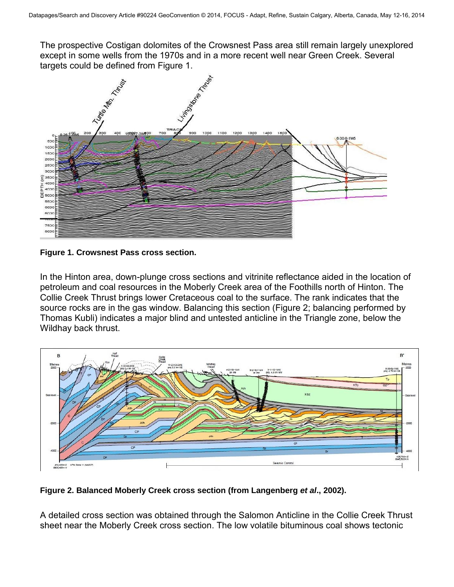The prospective Costigan dolomites of the Crowsnest Pass area still remain largely unexplored except in some wells from the 1970s and in a more recent well near Green Creek. Several targets could be defined from Figure 1.



**Figure 1. Crowsnest Pass cross section.** 

In the Hinton area, down-plunge cross sections and vitrinite reflectance aided in the location of petroleum and coal resources in the Moberly Creek area of the Foothills north of Hinton. The Collie Creek Thrust brings lower Cretaceous coal to the surface. The rank indicates that the source rocks are in the gas window. Balancing this section (Figure 2; balancing performed by Thomas Kubli) indicates a major blind and untested anticline in the Triangle zone, below the Wildhay back thrust.



**Figure 2. Balanced Moberly Creek cross section (from Langenberg** *et al***., 2002).** 

A detailed cross section was obtained through the Salomon Anticline in the Collie Creek Thrust sheet near the Moberly Creek cross section. The low volatile bituminous coal shows tectonic